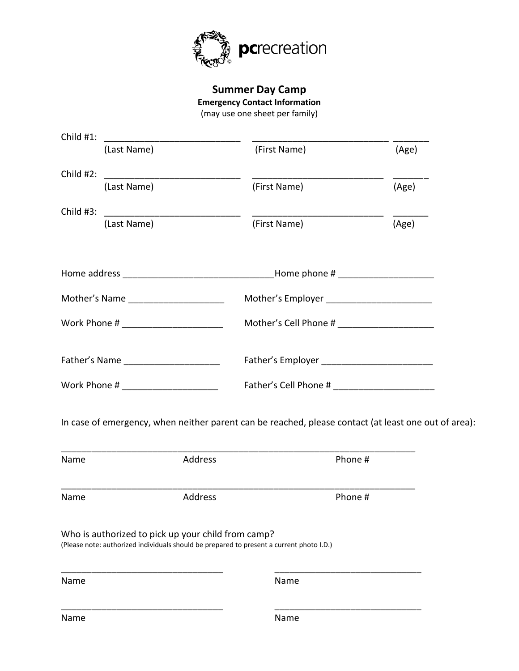

**Summer Day Camp Emergency Contact Information** (may use one sheet per family)

| (Last Name)                                                                        | (First Name) | (Age) |  |  |
|------------------------------------------------------------------------------------|--------------|-------|--|--|
| Child #2:<br>(Last Name)                                                           | (First Name) | (Age) |  |  |
|                                                                                    |              |       |  |  |
| Child $#3$ :<br>(Last Name)                                                        | (First Name) | (Age) |  |  |
|                                                                                    |              |       |  |  |
|                                                                                    |              |       |  |  |
| Mother's Name _____________________<br>Mother's Employer _________________________ |              |       |  |  |
| Work Phone # _______________________                                               |              |       |  |  |
|                                                                                    |              |       |  |  |
|                                                                                    |              |       |  |  |
| Father's Name _____________________                                                |              |       |  |  |

| Name | Address                                                                                                                                        | Phone # |
|------|------------------------------------------------------------------------------------------------------------------------------------------------|---------|
| Name | Address                                                                                                                                        | Phone # |
|      | Who is authorized to pick up your child from camp?<br>(Please note: authorized individuals should be prepared to present a current photo I.D.) |         |
| Name |                                                                                                                                                | Name    |
|      |                                                                                                                                                |         |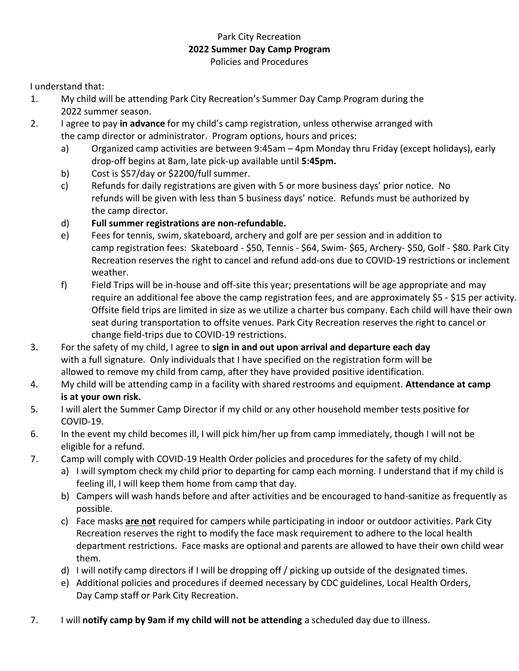## Park City Recreation **2022 Summer Day Camp Program** Policies and Procedures

I understand that:

- 1. My child will be attending Park City Recreation's Summer Day Camp Program during the 2022 summer season.
- 2. I agree to pay **in advance** for my child's camp registration, unless otherwise arranged with the camp director or administrator. Program options, hours and prices:
	- a) Organized camp activities are between 9:45am 4pm Monday thru Friday (except holidays), early drop-off begins at 8am, late pick-up available until **5:45pm.**
	- b) Cost is \$57/day or \$2200/full summer.
	- c) Refunds for daily registrations are given with 5 or more business days' prior notice. No refunds will be given with less than 5 business days' notice. Refunds must be authorized by the camp director.
	- d) **Full summer registrations are non-refundable.**
	- e) Fees for tennis, swim, skateboard, archery and golf are per session and in addition to camp registration fees: Skateboard - \$50, Tennis - \$64, Swim- \$65, Archery- \$50, Golf - \$80. Park City Recreation reserves the right to cancel and refund add-ons due to COVID-19 restrictions or inclement weather.
	- f) Field Trips will be in-house and off-site this year; presentations will be age appropriate and may require an additional fee above the camp registration fees, and are approximately \$5 - \$15 per activity. Offsite field trips are limited in size as we utilize a charter bus company. Each child will have their own seat during transportation to offsite venues. Park City Recreation reserves the right to cancel or change field-trips due to COVID-19 restrictions.
- 3. For the safety of my child, I agree to **sign in and out upon arrival and departure each day** with a full signature. Only individuals that I have specified on the registration form will be allowed to remove my child from camp, after they have provided positive identification.
- 4. My child will be attending camp in a facility with shared restrooms and equipment. **Attendance at camp is at your own risk.**
- 5. I will alert the Summer Camp Director if my child or any other household member tests positive for COVID-19.
- 6. In the event my child becomes ill, I will pick him/her up from camp immediately, though I will not be eligible for a refund.
- 7. Camp will comply with COVID-19 Health Order policies and procedures for the safety of my child.
	- a) I will symptom check my child prior to departing for camp each morning. I understand that if my child is feeling ill, I will keep them home from camp that day.
	- b) Campers will wash hands before and after activities and be encouraged to hand-sanitize as frequently as possible.
	- c) Face masks **are not** required for campers while participating in indoor or outdoor activities. Park City Recreation reserves the right to modify the face mask requirement to adhere to the local health department restrictions. Face masks are optional and parents are allowed to have their own child wear them.
	- d) I will notify camp directors if I will be dropping off / picking up outside of the designated times.
	- e) Additional policies and procedures if deemed necessary by CDC guidelines, Local Health Orders, Day Camp staff or Park City Recreation.
- 7. I will **notify camp by 9am if my child will not be attending** a scheduled day due to illness.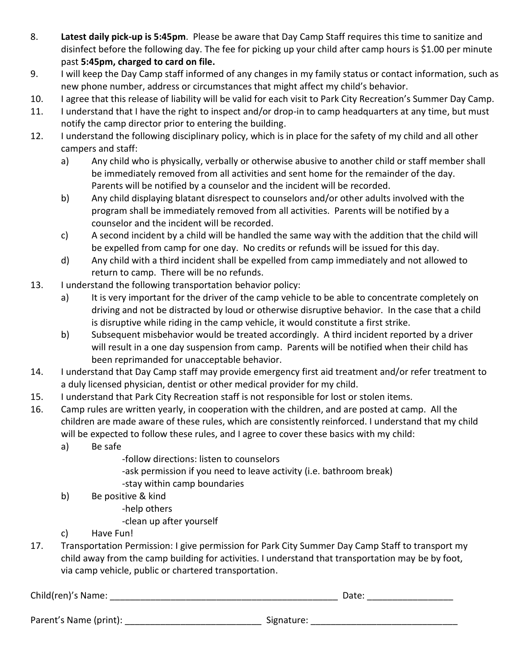- 8. **Latest daily pick-up is 5:45pm**. Please be aware that Day Camp Staff requires this time to sanitize and disinfect before the following day. The fee for picking up your child after camp hours is \$1.00 per minute past **5:45pm, charged to card on file.**
- 9. I will keep the Day Camp staff informed of any changes in my family status or contact information, such as new phone number, address or circumstances that might affect my child's behavior.
- 10. I agree that this release of liability will be valid for each visit to Park City Recreation's Summer Day Camp.
- 11. I understand that I have the right to inspect and/or drop-in to camp headquarters at any time, but must notify the camp director prior to entering the building.
- 12. I understand the following disciplinary policy, which is in place for the safety of my child and all other campers and staff:
	- a) Any child who is physically, verbally or otherwise abusive to another child or staff member shall be immediately removed from all activities and sent home for the remainder of the day. Parents will be notified by a counselor and the incident will be recorded.
	- b) Any child displaying blatant disrespect to counselors and/or other adults involved with the program shall be immediately removed from all activities. Parents will be notified by a counselor and the incident will be recorded.
	- c) A second incident by a child will be handled the same way with the addition that the child will be expelled from camp for one day. No credits or refunds will be issued for this day.
	- d) Any child with a third incident shall be expelled from camp immediately and not allowed to return to camp. There will be no refunds.
- 13. I understand the following transportation behavior policy:
	- a) It is very important for the driver of the camp vehicle to be able to concentrate completely on driving and not be distracted by loud or otherwise disruptive behavior. In the case that a child is disruptive while riding in the camp vehicle, it would constitute a first strike.
	- b) Subsequent misbehavior would be treated accordingly. A third incident reported by a driver will result in a one day suspension from camp. Parents will be notified when their child has been reprimanded for unacceptable behavior.
- 14. I understand that Day Camp staff may provide emergency first aid treatment and/or refer treatment to a duly licensed physician, dentist or other medical provider for my child.
- 15. I understand that Park City Recreation staff is not responsible for lost or stolen items.
- 16. Camp rules are written yearly, in cooperation with the children, and are posted at camp. All the children are made aware of these rules, which are consistently reinforced. I understand that my child will be expected to follow these rules, and I agree to cover these basics with my child:
	- a) Be safe
		- -follow directions: listen to counselors
		- -ask permission if you need to leave activity (i.e. bathroom break)
		- -stay within camp boundaries
	- b) Be positive & kind
		- -help others
		- -clean up after yourself
	- c) Have Fun!
- 17. Transportation Permission: I give permission for Park City Summer Day Camp Staff to transport my child away from the camp building for activities. I understand that transportation may be by foot, via camp vehicle, public or chartered transportation.

| Child(ren)'s Name:     | Date:      |  |  |
|------------------------|------------|--|--|
|                        |            |  |  |
| Parent's Name (print): | Signature: |  |  |